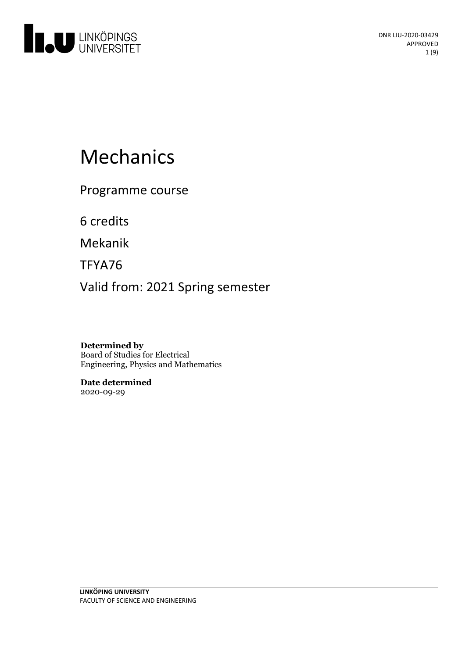

# Mechanics

Programme course

6 credits

Mekanik

TFYA76

Valid from: 2021 Spring semester

**Determined by** Board of Studies for Electrical Engineering, Physics and Mathematics

**Date determined** 2020-09-29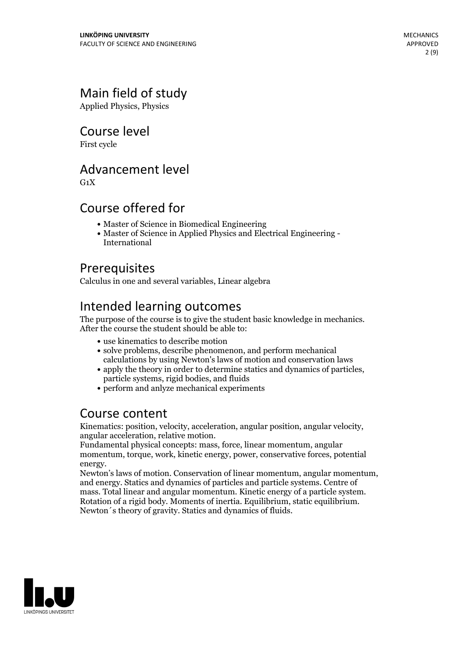# Main field of study

Applied Physics, Physics

### Course level

First cycle

### Advancement level

 $G_1X$ 

### Course offered for

- Master of Science in Biomedical Engineering
- Master of Science in Applied Physics and Electrical Engineering International

# Prerequisites

Calculus in one and several variables, Linear algebra

# Intended learning outcomes

The purpose of the course is to give the student basic knowledge in mechanics. After the course the student should be able to:

- use kinematics to describe motion
- solve problems, describe phenomenon, and perform mechanical calculations by using Newton's laws of motion and conservation laws
- apply the theory in order to determine statics and dynamics of particles, particle systems, rigid bodies, and fluids
- perform and anlyze mechanical experiments

### Course content

Kinematics: position, velocity, acceleration, angular position, angular velocity, angular acceleration, relative motion. Fundamental physical concepts: mass, force, linear momentum, angular

momentum, torque, work, kinetic energy, power, conservative forces, potential

energy. Newton's laws of motion. Conservation of linear momentum, angular momentum, and energy. Statics and dynamics of particles and particle systems. Centre of mass. Total linear and angular momentum. Kinetic energy of <sup>a</sup> particle system. Rotation of <sup>a</sup> rigid body. Moments of inertia. Equilibrium, static equilibrium. Newton´s theory of gravity. Statics and dynamics of fluids.

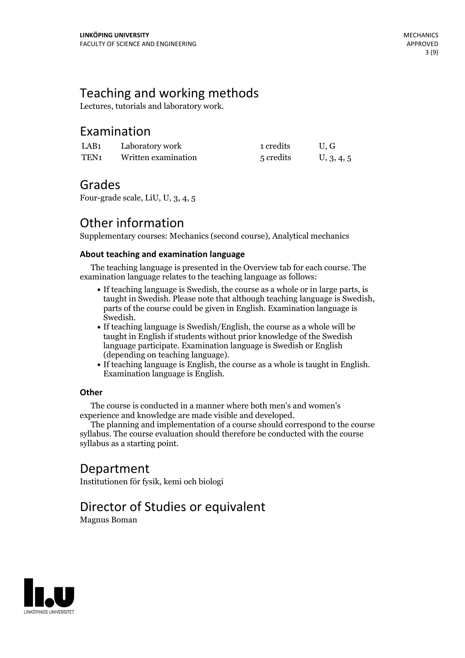# Teaching and working methods

Lectures, tutorials and laboratory work.

### Examination

| LAB1 | Laboratory work     | 1 credits | U.G        |
|------|---------------------|-----------|------------|
| TEN1 | Written examination | 5 credits | U, 3, 4, 5 |

### Grades

Four-grade scale, LiU, U, 3, 4, 5

# Other information

Supplementary courses: Mechanics (second course), Analytical mechanics

### **About teaching and examination language**

The teaching language is presented in the Overview tab for each course. The examination language relates to the teaching language as follows:

- If teaching language is Swedish, the course as a whole or in large parts, is taught in Swedish. Please note that although teaching language is Swedish, parts of the course could be given in English. Examination language is
- Swedish.<br>• If teaching language is Swedish/English, the course as a whole will be taught in English if students without prior knowledge of the Swedish language participate. Examination language is Swedish or English
- $\bullet$  If teaching language is English, the course as a whole is taught in English. Examination language is English.

### **Other**

The course is conducted in a manner where both men's and women's

The planning and implementation of a course should correspond to the course syllabus. The course evaluation should therefore be conducted with the course syllabus as a starting point.

# Department

Institutionen för fysik, kemi och biologi

# Director of Studies or equivalent

Magnus Boman

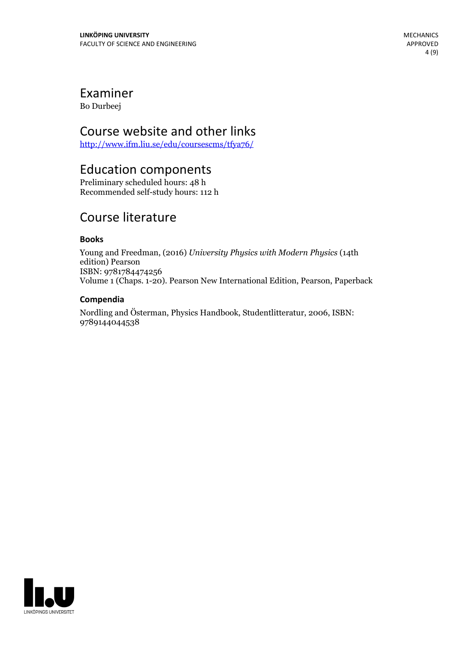# Examiner

Bo Durbeej

### Course website and other links

<http://www.ifm.liu.se/edu/coursescms/tfya76/>

### Education components

Preliminary scheduled hours: 48 h Recommended self-study hours: 112 h

# Course literature

### **Books**

Young and Freedman, (2016) *University Physics with Modern Physics* (14th edition) Pearson ISBN: 9781784474256 Volume 1 (Chaps. 1-20). Pearson New International Edition, Pearson, Paperback

### **Compendia**

Nordling and Österman, Physics Handbook, Studentlitteratur, 2006, ISBN: 9789144044538

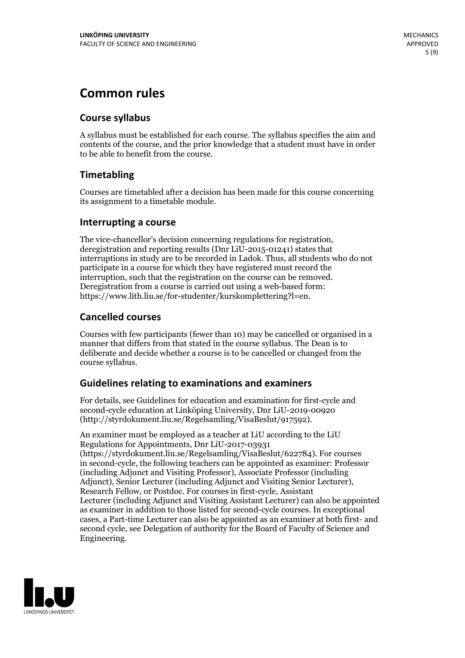# **Common rules**

### **Course syllabus**

A syllabus must be established for each course. The syllabus specifies the aim and contents of the course, and the prior knowledge that a student must have in order to be able to benefit from the course.

### **Timetabling**

Courses are timetabled after a decision has been made for this course concerning its assignment to a timetable module.

### **Interrupting a course**

The vice-chancellor's decision concerning regulations for registration, deregistration and reporting results (Dnr LiU-2015-01241) states that interruptions in study are to be recorded in Ladok. Thus, all students who do not participate in a course for which they have registered must record the interruption, such that the registration on the course can be removed. Deregistration from <sup>a</sup> course is carried outusing <sup>a</sup> web-based form: https://www.lith.liu.se/for-studenter/kurskomplettering?l=en.

### **Cancelled courses**

Courses with few participants (fewer than 10) may be cancelled or organised in a manner that differs from that stated in the course syllabus. The Dean is to deliberate and decide whether a course is to be cancelled or changed from the course syllabus.

### **Guidelines relatingto examinations and examiners**

For details, see Guidelines for education and examination for first-cycle and second-cycle education at Linköping University, Dnr LiU-2019-00920 (http://styrdokument.liu.se/Regelsamling/VisaBeslut/917592).

An examiner must be employed as a teacher at LiU according to the LiU Regulations for Appointments, Dnr LiU-2017-03931 (https://styrdokument.liu.se/Regelsamling/VisaBeslut/622784). For courses in second-cycle, the following teachers can be appointed as examiner: Professor (including Adjunct and Visiting Professor), Associate Professor (including Adjunct), Senior Lecturer (including Adjunct and Visiting Senior Lecturer), Research Fellow, or Postdoc. For courses in first-cycle, Assistant Lecturer (including Adjunct and Visiting Assistant Lecturer) can also be appointed as examiner in addition to those listed for second-cycle courses. In exceptional cases, a Part-time Lecturer can also be appointed as an examiner at both first- and second cycle, see Delegation of authority for the Board of Faculty of Science and Engineering.

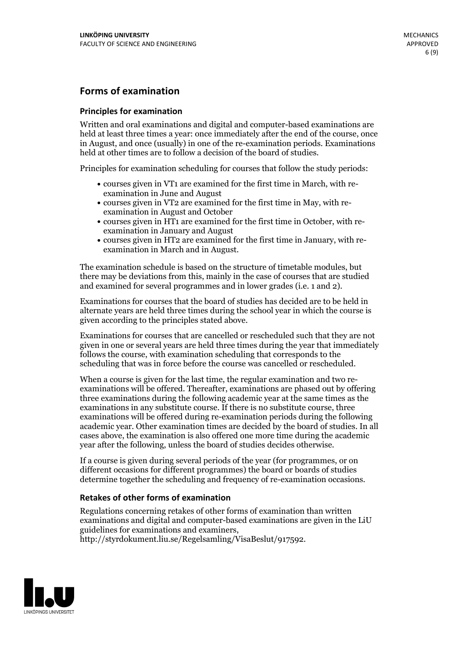### **Forms of examination**

#### **Principles for examination**

Written and oral examinations and digital and computer-based examinations are held at least three times a year: once immediately after the end of the course, once in August, and once (usually) in one of the re-examination periods. Examinations held at other times are to follow a decision of the board of studies.

Principles for examination scheduling for courses that follow the study periods:

- courses given in VT1 are examined for the first time in March, with re-examination in June and August
- courses given in VT2 are examined for the first time in May, with re-examination in August and October
- courses given in HT1 are examined for the first time in October, with re-examination in January and August
- courses given in HT2 are examined for the first time in January, with re-examination in March and in August.

The examination schedule is based on the structure of timetable modules, but there may be deviations from this, mainly in the case of courses that are studied and examined for several programmes and in lower grades (i.e. 1 and 2).

Examinations for courses that the board of studies has decided are to be held in alternate years are held three times during the school year in which the course is given according to the principles stated above.

Examinations for courses that are cancelled orrescheduled such that they are not given in one or several years are held three times during the year that immediately follows the course, with examination scheduling that corresponds to the scheduling that was in force before the course was cancelled or rescheduled.

When a course is given for the last time, the regular examination and two re-<br>examinations will be offered. Thereafter, examinations are phased out by offering three examinations during the following academic year at the same times as the examinations in any substitute course. If there is no substitute course, three examinations will be offered during re-examination periods during the following academic year. Other examination times are decided by the board of studies. In all cases above, the examination is also offered one more time during the academic year after the following, unless the board of studies decides otherwise.

If a course is given during several periods of the year (for programmes, or on different occasions for different programmes) the board or boards of studies determine together the scheduling and frequency of re-examination occasions.

#### **Retakes of other forms of examination**

Regulations concerning retakes of other forms of examination than written examinations and digital and computer-based examinations are given in the LiU guidelines for examinations and examiners, http://styrdokument.liu.se/Regelsamling/VisaBeslut/917592.

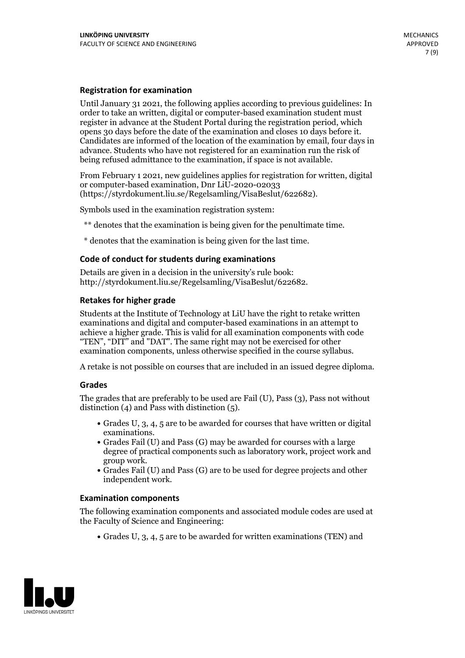#### **Registration for examination**

Until January 31 2021, the following applies according to previous guidelines: In order to take an written, digital or computer-based examination student must register in advance at the Student Portal during the registration period, which Candidates are informed of the location of the examination by email, four days in advance. Students who have not registered for an examination run the risk of being refused admittance to the examination, if space is not available.

From February 1 2021, new guidelines applies for registration for written, digital or computer-based examination, Dnr LiU-2020-02033 (https://styrdokument.liu.se/Regelsamling/VisaBeslut/622682).

Symbols used in the examination registration system:

\*\* denotes that the examination is being given for the penultimate time.

\* denotes that the examination is being given for the last time.

#### **Code of conduct for students during examinations**

Details are given in a decision in the university's rule book: http://styrdokument.liu.se/Regelsamling/VisaBeslut/622682.

#### **Retakes for higher grade**

Students at the Institute of Technology at LiU have the right to retake written examinations and digital and computer-based examinations in an attempt to achieve a higher grade. This is valid for all examination components with code "TEN", "DIT" and "DAT". The same right may not be exercised for other examination components, unless otherwise specified in the course syllabus.

A retake is not possible on courses that are included in an issued degree diploma.

#### **Grades**

The grades that are preferably to be used are Fail (U), Pass (3), Pass not without distinction  $(4)$  and Pass with distinction  $(5)$ .

- Grades U, 3, 4, 5 are to be awarded for courses that have written or digital examinations.<br>• Grades Fail (U) and Pass (G) may be awarded for courses with a large
- degree of practical components such as laboratory work, project work and
- Grades Fail (U) and Pass (G) are to be used for degree projects and other independent work.

#### **Examination components**

The following examination components and associated module codes are used at the Faculty of Science and Engineering:

Grades U, 3, 4, 5 are to be awarded for written examinations (TEN) and

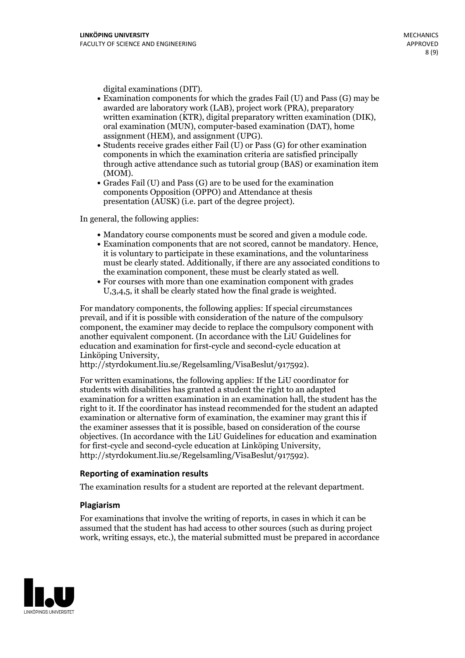- digital examinations (DIT).<br>• Examination components for which the grades Fail (U) and Pass (G) may be awarded are laboratory work (LAB), project work (PRA), preparatory written examination (KTR), digital preparatory written examination (DIK), oral examination (MUN), computer-based examination (DAT), home
- assignment (HEM), and assignment (UPG).<br>• Students receive grades either Fail (U) or Pass (G) for other examination components in which the examination criteria are satisfied principally through active attendance such as tutorial group (BAS) or examination item
- (MOM).<br>• Grades Fail (U) and Pass (G) are to be used for the examination components Opposition (OPPO) and Attendance at thesis presentation (AUSK) (i.e. part of the degree project).

In general, the following applies:

- 
- Mandatory course components must be scored and given <sup>a</sup> module code. Examination components that are not scored, cannot be mandatory. Hence, it is voluntary to participate in these examinations, and the voluntariness must be clearly stated. Additionally, if there are any associated conditions to the examination component, these must be clearly stated as well.<br>• For courses with more than one examination component with grades
- U,3,4,5, it shall be clearly stated how the final grade is weighted.

For mandatory components, the following applies: If special circumstances prevail, and if it is possible with consideration of the nature ofthe compulsory component, the examiner may decide to replace the compulsory component with another equivalent component. (In accordance with the LiU Guidelines for education and examination for first-cycle and second-cycle education at Linköping University, http://styrdokument.liu.se/Regelsamling/VisaBeslut/917592).

For written examinations, the following applies: If the LiU coordinator for students with disabilities has granted a student the right to an adapted examination for a written examination in an examination hall, the student has the right to it. If the coordinator has instead recommended for the student an adapted examination or alternative form of examination, the examiner may grant this if the examiner assesses that it is possible, based on consideration of the course objectives. (In accordance with the LiU Guidelines for education and examination for first-cycle and second-cycle education at Linköping University, http://styrdokument.liu.se/Regelsamling/VisaBeslut/917592).

#### **Reporting of examination results**

The examination results for a student are reported at the relevant department.

#### **Plagiarism**

For examinations that involve the writing of reports, in cases in which it can be assumed that the student has had access to other sources (such as during project work, writing essays, etc.), the material submitted must be prepared in accordance